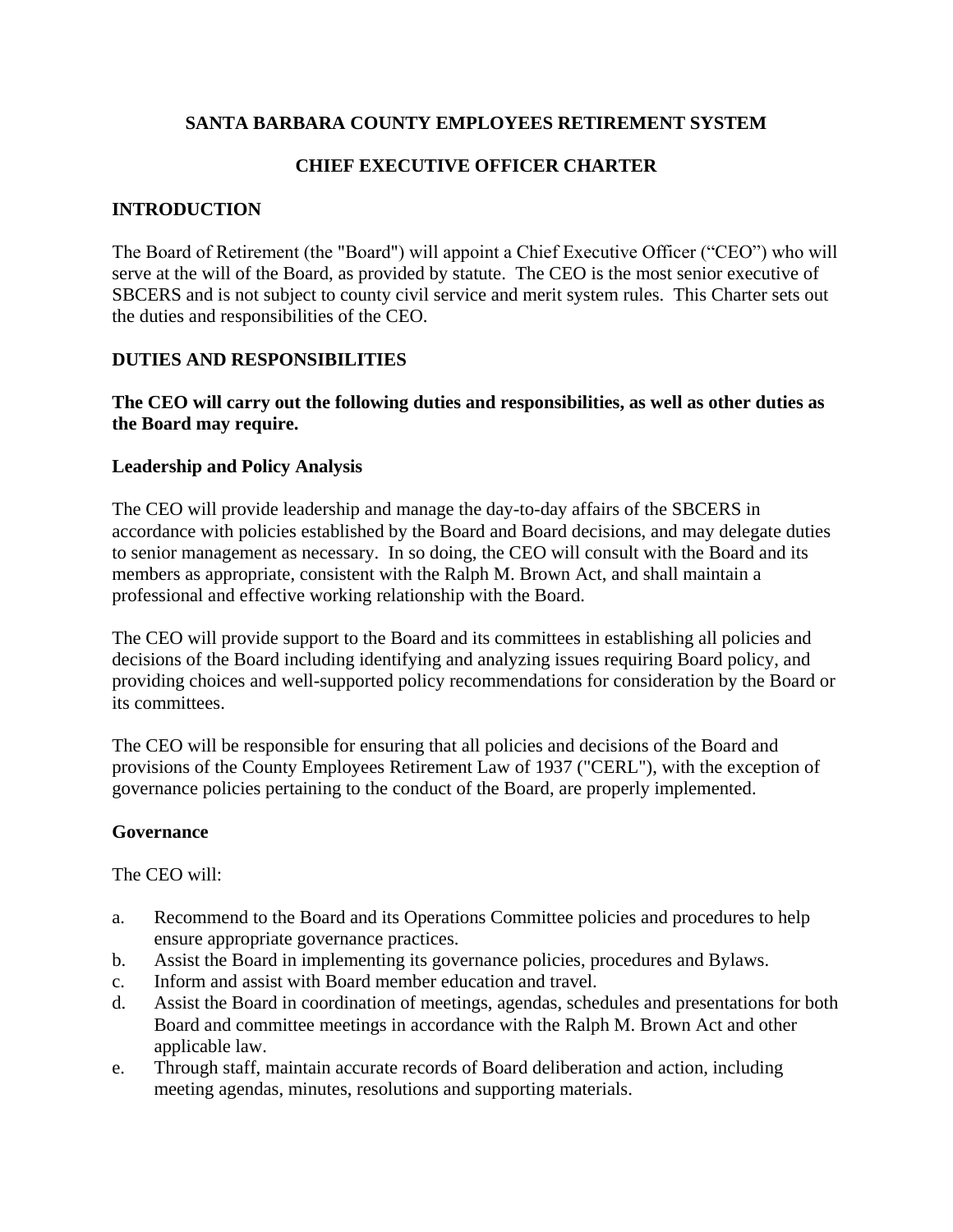### **SANTA BARBARA COUNTY EMPLOYEES RETIREMENT SYSTEM**

## **CHIEF EXECUTIVE OFFICER CHARTER**

### **INTRODUCTION**

The Board of Retirement (the "Board") will appoint a Chief Executive Officer ("CEO") who will serve at the will of the Board, as provided by statute. The CEO is the most senior executive of SBCERS and is not subject to county civil service and merit system rules. This Charter sets out the duties and responsibilities of the CEO.

#### **DUTIES AND RESPONSIBILITIES**

#### **The CEO will carry out the following duties and responsibilities, as well as other duties as the Board may require.**

#### **Leadership and Policy Analysis**

The CEO will provide leadership and manage the day-to-day affairs of the SBCERS in accordance with policies established by the Board and Board decisions, and may delegate duties to senior management as necessary. In so doing, the CEO will consult with the Board and its members as appropriate, consistent with the Ralph M. Brown Act, and shall maintain a professional and effective working relationship with the Board.

The CEO will provide support to the Board and its committees in establishing all policies and decisions of the Board including identifying and analyzing issues requiring Board policy, and providing choices and well-supported policy recommendations for consideration by the Board or its committees.

The CEO will be responsible for ensuring that all policies and decisions of the Board and provisions of the County Employees Retirement Law of 1937 ("CERL"), with the exception of governance policies pertaining to the conduct of the Board, are properly implemented.

#### **Governance**

- a. Recommend to the Board and its Operations Committee policies and procedures to help ensure appropriate governance practices.
- b. Assist the Board in implementing its governance policies, procedures and Bylaws.
- c. Inform and assist with Board member education and travel.
- d. Assist the Board in coordination of meetings, agendas, schedules and presentations for both Board and committee meetings in accordance with the Ralph M. Brown Act and other applicable law.
- e. Through staff, maintain accurate records of Board deliberation and action, including meeting agendas, minutes, resolutions and supporting materials.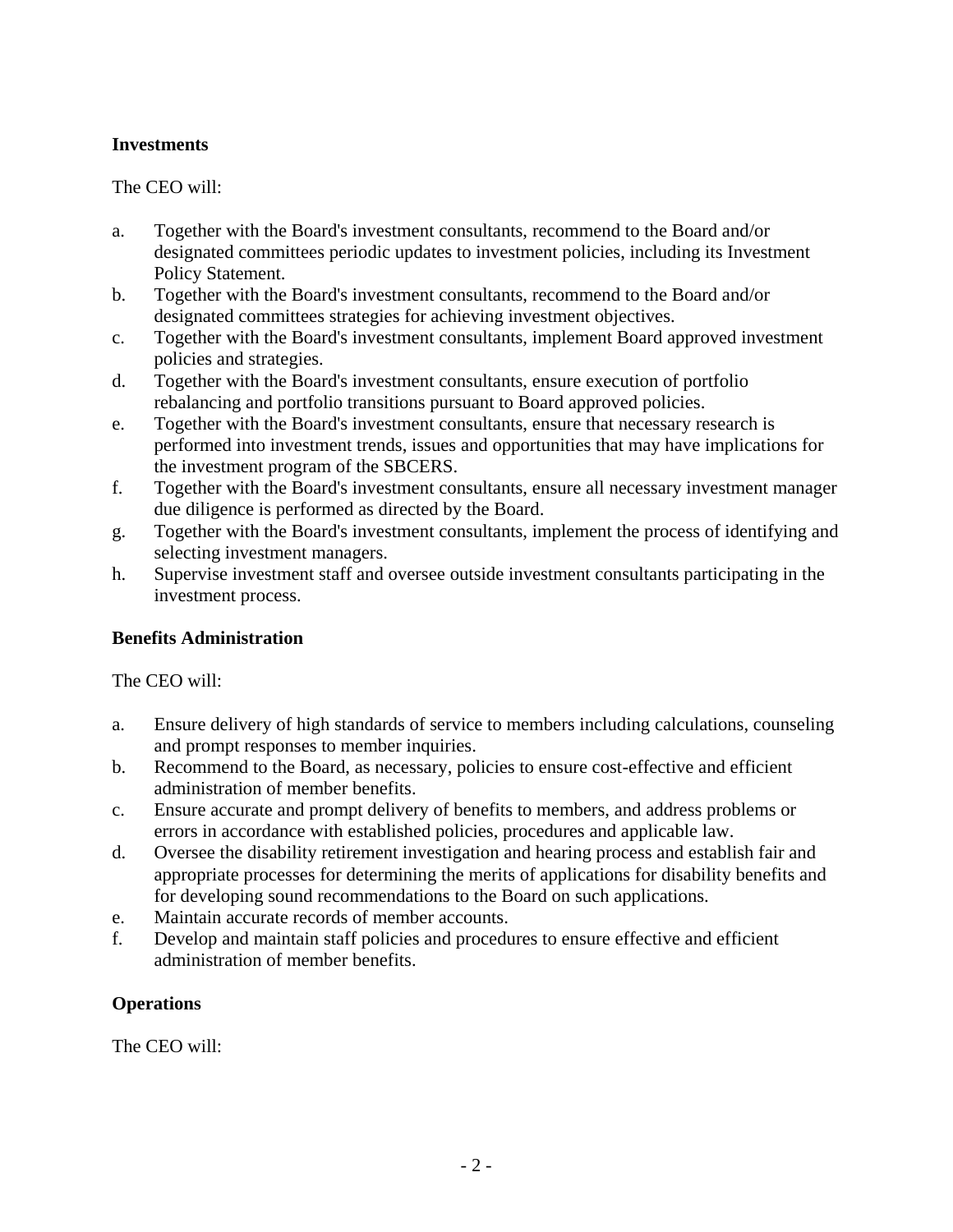### **Investments**

### The CEO will:

- a. Together with the Board's investment consultants, recommend to the Board and/or designated committees periodic updates to investment policies, including its Investment Policy Statement.
- b. Together with the Board's investment consultants, recommend to the Board and/or designated committees strategies for achieving investment objectives.
- c. Together with the Board's investment consultants, implement Board approved investment policies and strategies.
- d. Together with the Board's investment consultants, ensure execution of portfolio rebalancing and portfolio transitions pursuant to Board approved policies.
- e. Together with the Board's investment consultants, ensure that necessary research is performed into investment trends, issues and opportunities that may have implications for the investment program of the SBCERS.
- f. Together with the Board's investment consultants, ensure all necessary investment manager due diligence is performed as directed by the Board.
- g. Together with the Board's investment consultants, implement the process of identifying and selecting investment managers.
- h. Supervise investment staff and oversee outside investment consultants participating in the investment process.

#### **Benefits Administration**

#### The CEO will:

- a. Ensure delivery of high standards of service to members including calculations, counseling and prompt responses to member inquiries.
- b. Recommend to the Board, as necessary, policies to ensure cost-effective and efficient administration of member benefits.
- c. Ensure accurate and prompt delivery of benefits to members, and address problems or errors in accordance with established policies, procedures and applicable law.
- d. Oversee the disability retirement investigation and hearing process and establish fair and appropriate processes for determining the merits of applications for disability benefits and for developing sound recommendations to the Board on such applications.
- e. Maintain accurate records of member accounts.
- f. Develop and maintain staff policies and procedures to ensure effective and efficient administration of member benefits.

## **Operations**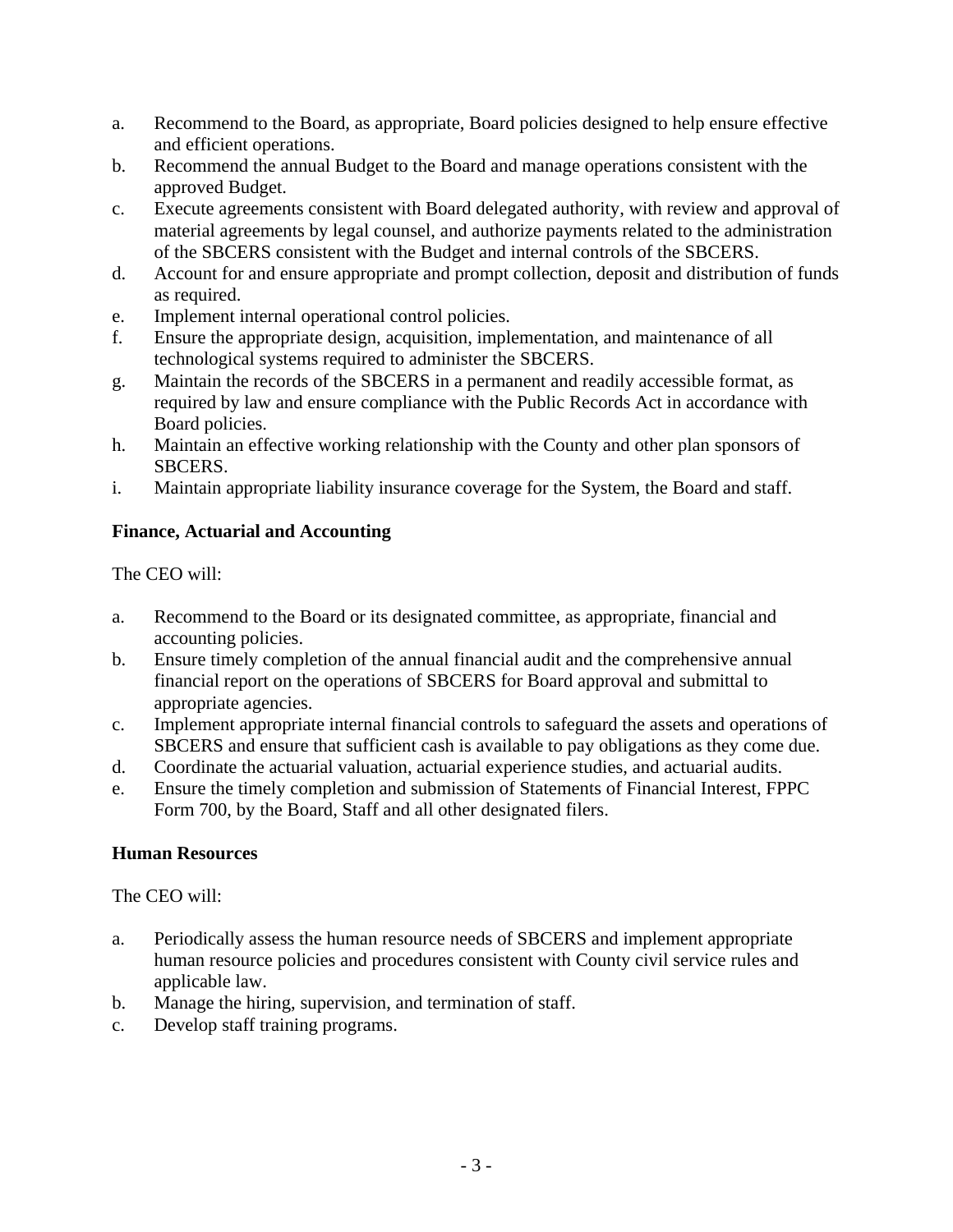- a. Recommend to the Board, as appropriate, Board policies designed to help ensure effective and efficient operations.
- b. Recommend the annual Budget to the Board and manage operations consistent with the approved Budget.
- c. Execute agreements consistent with Board delegated authority, with review and approval of material agreements by legal counsel, and authorize payments related to the administration of the SBCERS consistent with the Budget and internal controls of the SBCERS.
- d. Account for and ensure appropriate and prompt collection, deposit and distribution of funds as required.
- e. Implement internal operational control policies.
- f. Ensure the appropriate design, acquisition, implementation, and maintenance of all technological systems required to administer the SBCERS.
- g. Maintain the records of the SBCERS in a permanent and readily accessible format, as required by law and ensure compliance with the Public Records Act in accordance with Board policies.
- h. Maintain an effective working relationship with the County and other plan sponsors of SBCERS.
- i. Maintain appropriate liability insurance coverage for the System, the Board and staff.

### **Finance, Actuarial and Accounting**

The CEO will:

- a. Recommend to the Board or its designated committee, as appropriate, financial and accounting policies.
- b. Ensure timely completion of the annual financial audit and the comprehensive annual financial report on the operations of SBCERS for Board approval and submittal to appropriate agencies.
- c. Implement appropriate internal financial controls to safeguard the assets and operations of SBCERS and ensure that sufficient cash is available to pay obligations as they come due.
- d. Coordinate the actuarial valuation, actuarial experience studies, and actuarial audits.
- e. Ensure the timely completion and submission of Statements of Financial Interest, FPPC Form 700, by the Board, Staff and all other designated filers.

#### **Human Resources**

- a. Periodically assess the human resource needs of SBCERS and implement appropriate human resource policies and procedures consistent with County civil service rules and applicable law.
- b. Manage the hiring, supervision, and termination of staff.
- c. Develop staff training programs.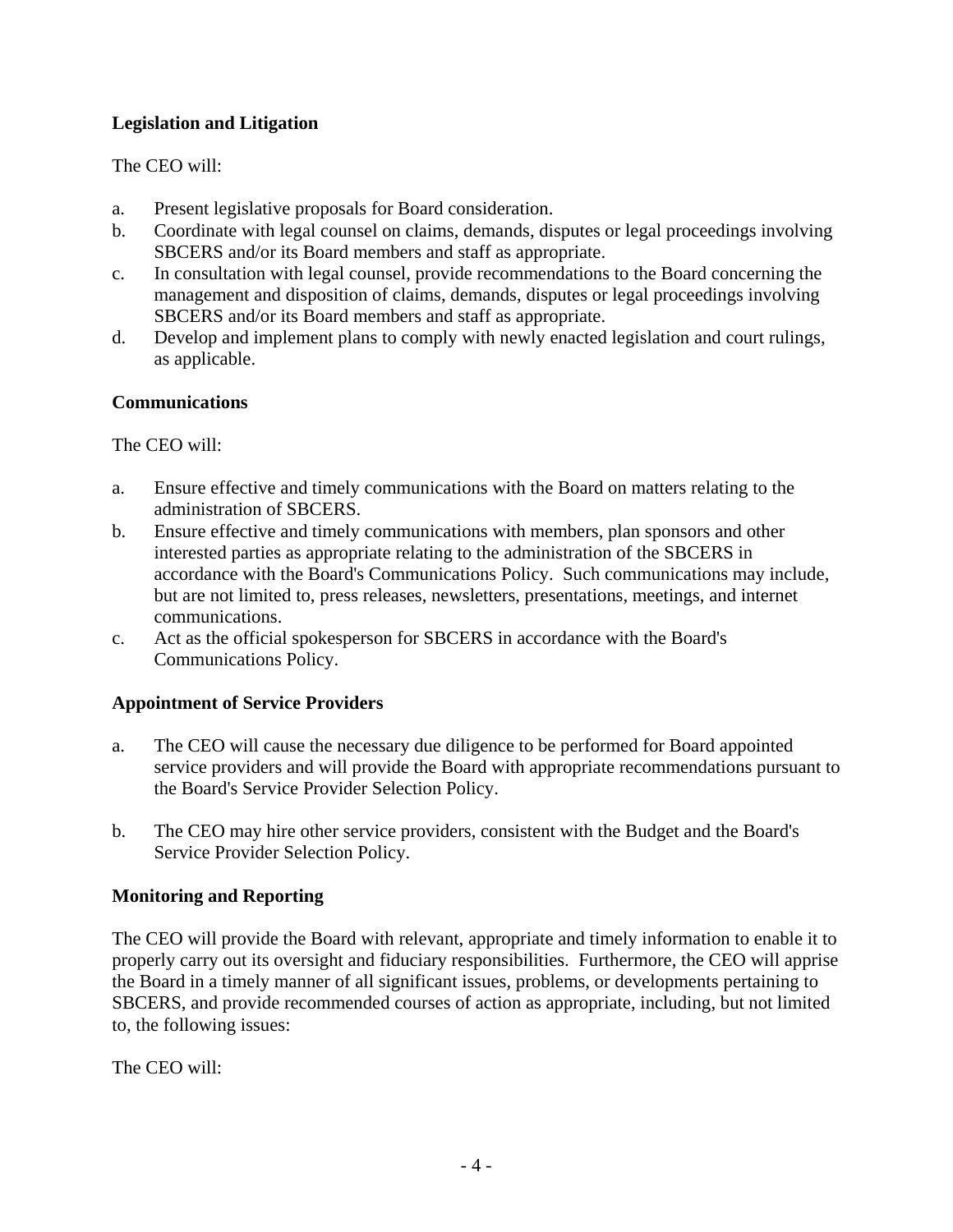### **Legislation and Litigation**

### The CEO will:

- a. Present legislative proposals for Board consideration.
- b. Coordinate with legal counsel on claims, demands, disputes or legal proceedings involving SBCERS and/or its Board members and staff as appropriate.
- c. In consultation with legal counsel, provide recommendations to the Board concerning the management and disposition of claims, demands, disputes or legal proceedings involving SBCERS and/or its Board members and staff as appropriate.
- d. Develop and implement plans to comply with newly enacted legislation and court rulings, as applicable.

### **Communications**

The CEO will:

- a. Ensure effective and timely communications with the Board on matters relating to the administration of SBCERS.
- b. Ensure effective and timely communications with members, plan sponsors and other interested parties as appropriate relating to the administration of the SBCERS in accordance with the Board's Communications Policy. Such communications may include, but are not limited to, press releases, newsletters, presentations, meetings, and internet communications.
- c. Act as the official spokesperson for SBCERS in accordance with the Board's Communications Policy.

#### **Appointment of Service Providers**

- a. The CEO will cause the necessary due diligence to be performed for Board appointed service providers and will provide the Board with appropriate recommendations pursuant to the Board's Service Provider Selection Policy.
- b. The CEO may hire other service providers, consistent with the Budget and the Board's Service Provider Selection Policy.

#### **Monitoring and Reporting**

The CEO will provide the Board with relevant, appropriate and timely information to enable it to properly carry out its oversight and fiduciary responsibilities. Furthermore, the CEO will apprise the Board in a timely manner of all significant issues, problems, or developments pertaining to SBCERS, and provide recommended courses of action as appropriate, including, but not limited to, the following issues: